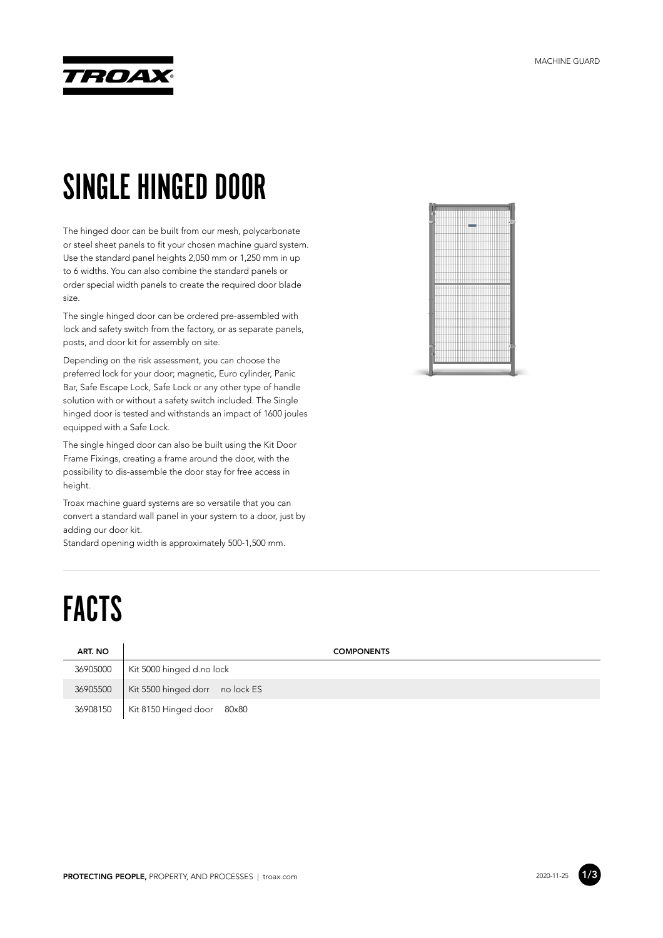

## SINGLE HINGED DOOR

The hinged door can be built from our mesh, polycarbonate or steel sheet panels to fit your chosen machine guard system. Use the standard panel heights 2,050 mm or 1,250 mm in up to 6 widths. You can also combine the standard panels or order special width panels to create the required door blade size.

The single hinged door can be ordered pre-assembled with lock and safety switch from the factory, or as separate panels, posts, and door kit for assembly on site.

Depending on the risk assessment, you can choose the preferred lock for your door; magnetic, Euro cylinder, Panic Bar, Safe Escape Lock, Safe Lock or any other type of handle solution with or without a safety switch included. The Single hinged door is tested and withstands an impact of 1600 joules equipped with a Safe Lock.

The single hinged door can also be built using the Kit Door Frame Fixings, creating a frame around the door, with the possibility to dis-assemble the door stay for free access in height.

Troax machine guard systems are so versatile that you can convert a standard wall panel in your system to a door, just by adding our door kit.

Standard opening width is approximately 500-1,500 mm.

## FACTS

| ART. NO  | <b>COMPONENTS</b>               |
|----------|---------------------------------|
| 36905000 | Kit 5000 hinged d.no lock       |
| 36905500 | Kit 5500 hinged dorr no lock ES |
| 36908150 | Kit 8150 Hinged door 80x80      |



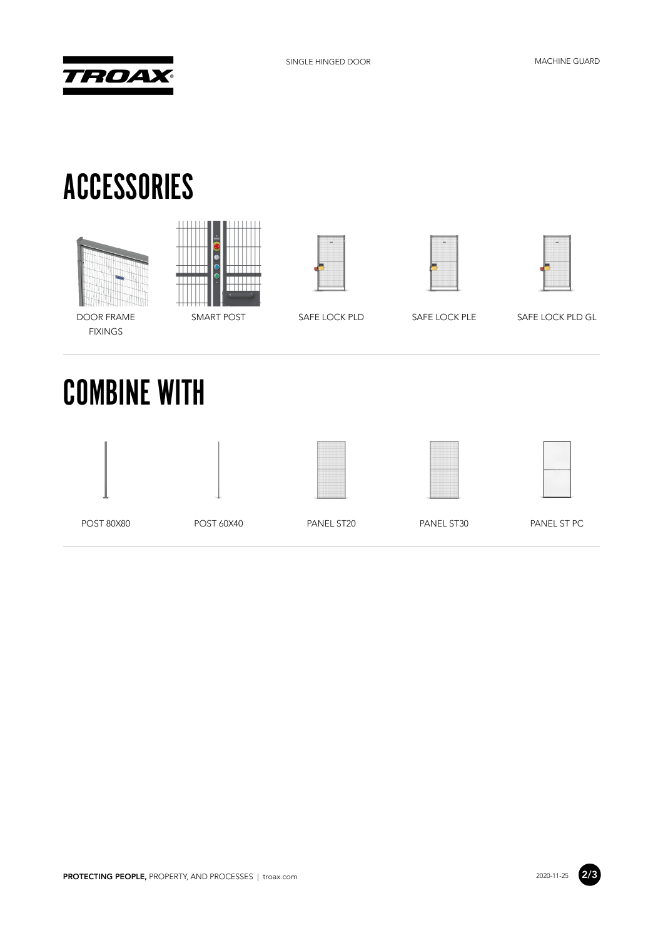

## ACCESSORIES